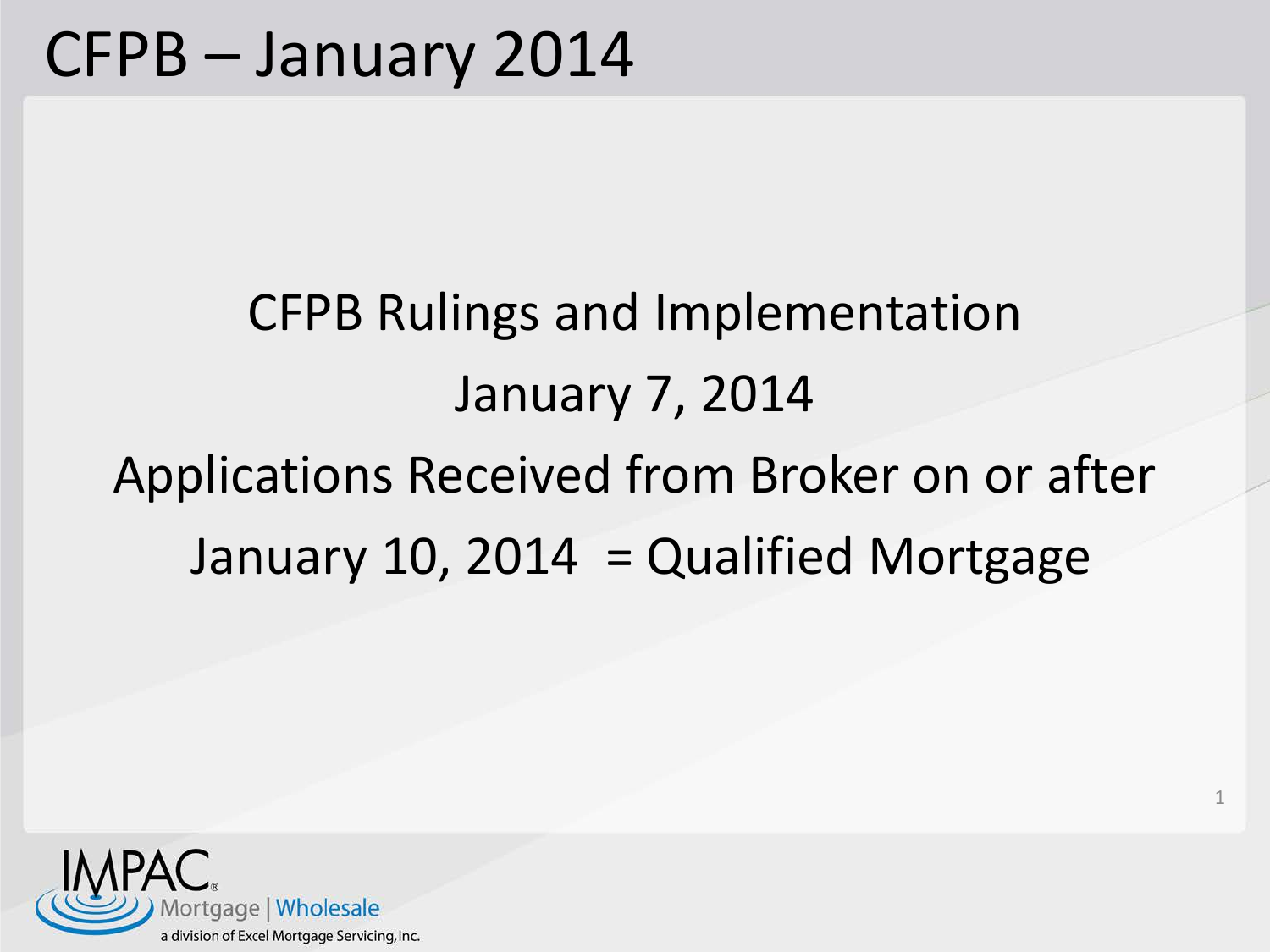## CFPB Rulings and Implementation January 7, 2014 Applications Received from Broker on or after January 10, 2014 = Qualified Mortgage

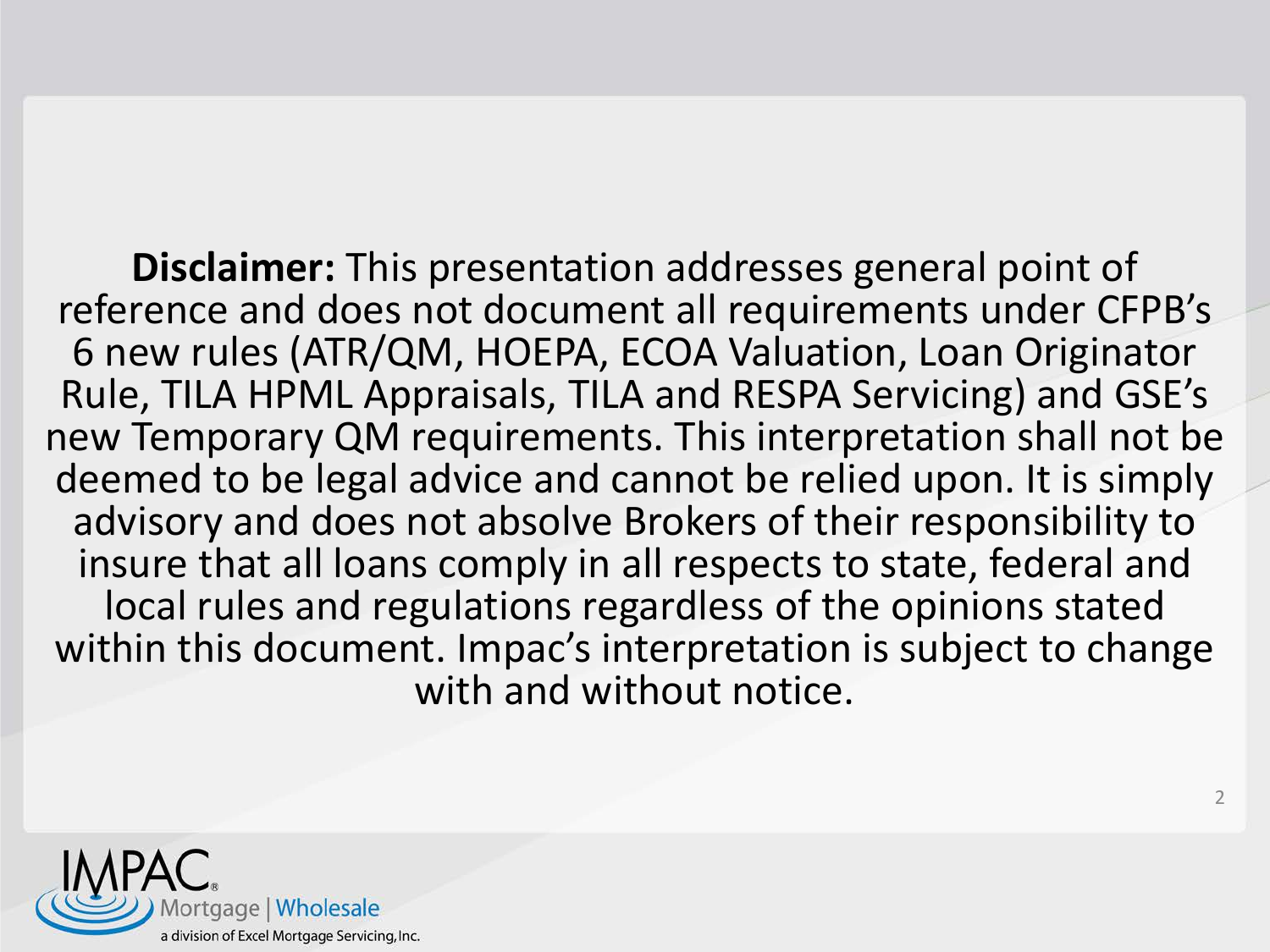**Disclaimer:** This presentation addresses general point of reference and does not document all requirements under CFPB's 6 new rules (ATR/QM, HOEPA, ECOA Valuation, Loan Originator Rule, TILA HPML Appraisals, TILA and RESPA Servicing) and GSE's new Temporary QM requirements. This interpretation shall not be deemed to be legal advice and cannot be relied upon. It is simply advisory and does not absolve Brokers of their responsibility to insure that all loans comply in all respects to state, federal and local rules and regulations regardless of the opinions stated within this document. Impac's interpretation is subject to change with and without notice.

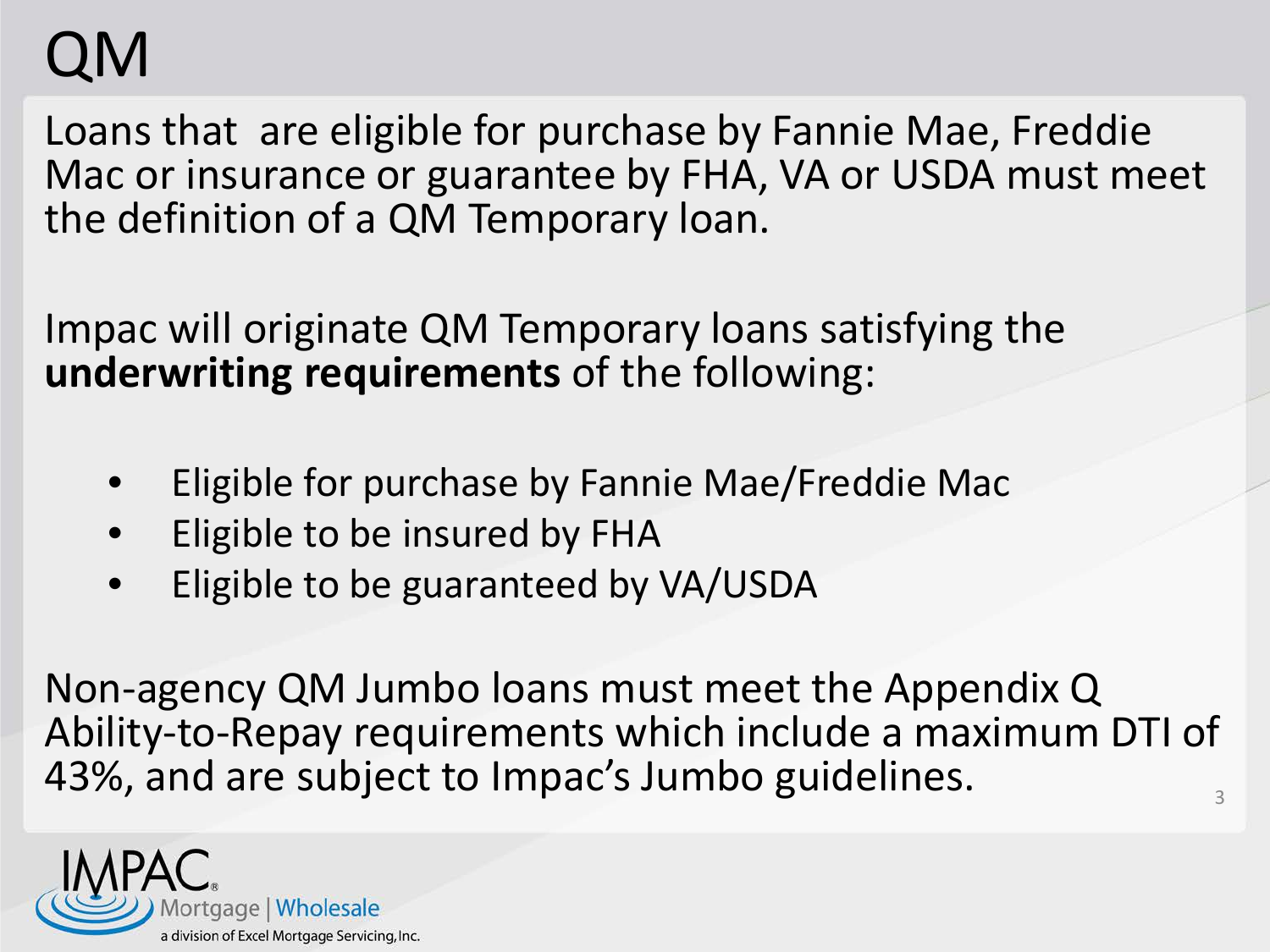## QM

Loans that are eligible for purchase by Fannie Mae, Freddie Mac or insurance or guarantee by FHA, VA or USDA must meet the definition of a QM Temporary loan.

Impac will originate QM Temporary loans satisfying the **underwriting requirements** of the following:

- Eligible for purchase by Fannie Mae/Freddie Mac
- Eligible to be insured by FHA
- Eligible to be guaranteed by VA/USDA

Non-agency QM Jumbo loans must meet the Appendix Q Ability-to-Repay requirements which include a maximum DTI of 43%, and are subject to Impac's Jumbo guidelines.

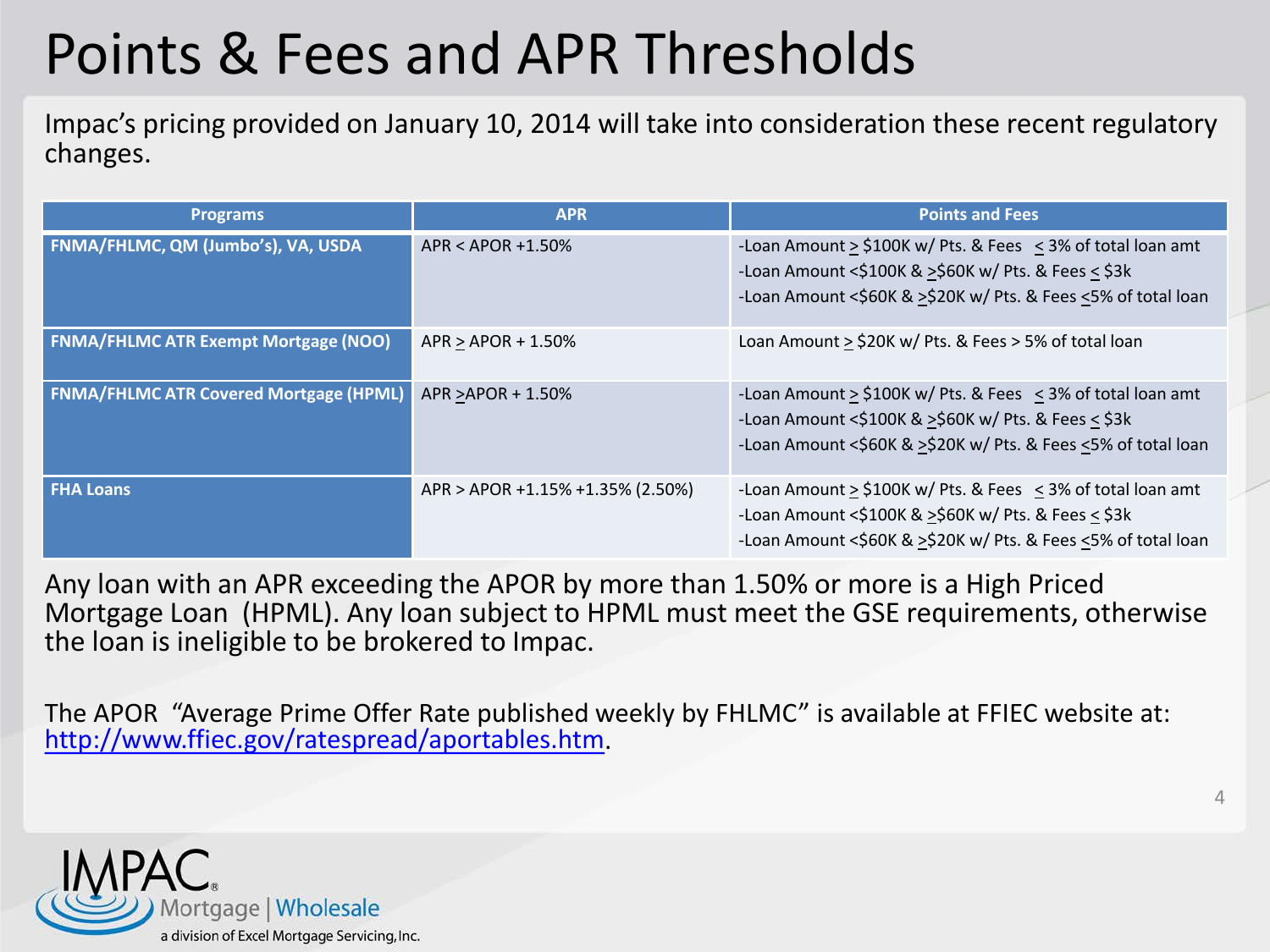### Points & Fees and APR Thresholds

Impac's pricing provided on January 10, 2014 will take into consideration these recent regulatory changes.

| <b>Programs</b>                               | <b>APR</b>                       | <b>Points and Fees</b>                                                                                                                                                                      |
|-----------------------------------------------|----------------------------------|---------------------------------------------------------------------------------------------------------------------------------------------------------------------------------------------|
| FNMA/FHLMC, QM (Jumbo's), VA, USDA            | $APR < APOR + 1.50\%$            | -Loan Amount > \$100K w/ Pts. & Fees < 3% of total loan amt<br>-Loan Amount <\$100K & >\$60K w/ Pts. & Fees < \$3k<br>-Loan Amount <\$60K & >\$20K w/ Pts. & Fees <5% of total loan         |
| <b>FNMA/FHLMC ATR Exempt Mortgage (NOO)</b>   | $APR > APOR + 1.50%$             | Loan Amount > \$20K w/ Pts. & Fees > 5% of total loan                                                                                                                                       |
| <b>FNMA/FHLMC ATR Covered Mortgage (HPML)</b> | APR > APOR + 1.50%               | -Loan Amount > \$100K w/ Pts. & Fees < 3% of total loan amt<br>-Loan Amount <\$100K & >\$60K w/ Pts. & Fees < \$3k<br>-Loan Amount <\$60K & >\$20K w/ Pts. & Fees <5% of total loan         |
| <b>FHA Loans</b>                              | APR > APOR +1.15% +1.35% (2.50%) | -Loan Amount $\ge$ \$100K w/ Pts. & Fees $\le$ 3% of total loan amt<br>-Loan Amount <\$100K & >\$60K w/ Pts. & Fees < \$3k<br>-Loan Amount <\$60K & >\$20K w/ Pts. & Fees <5% of total loan |

Any loan with an APR exceeding the APOR by more than 1.50% or more is a High Priced Mortgage Loan (HPML). Any loan subject to HPML must meet the GSE requirements, otherwise the loan is ineligible to be brokered to Impac.

The APOR "Average Prime Offer Rate published weekly by FHLMC" is available at FFIEC website at: [http://www.ffiec.gov/ratespread/aportables.htm.](http://www.ffiec.gov/ratespread/aportables.htm)

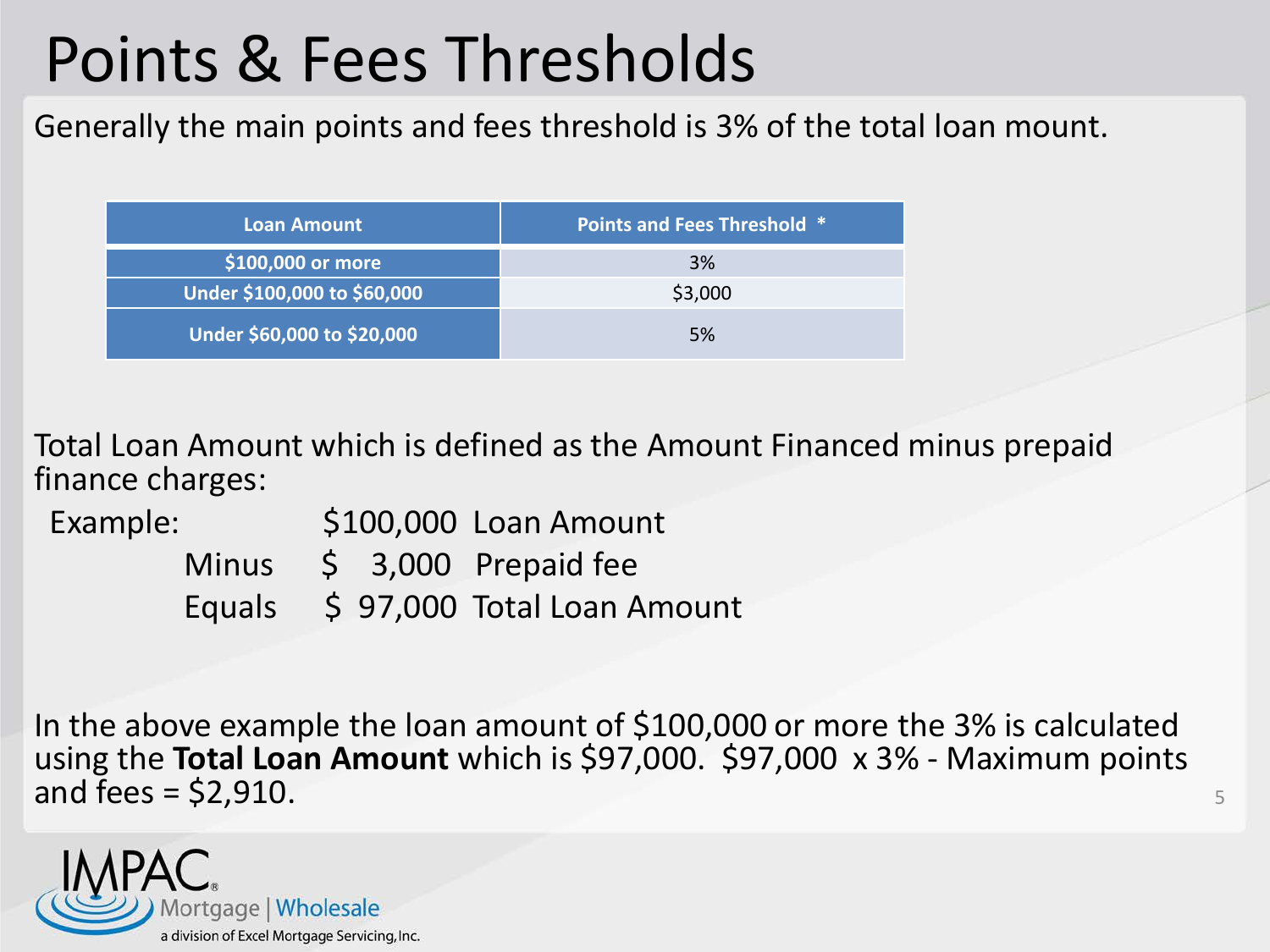## Points & Fees Thresholds

Generally the main points and fees threshold is 3% of the total loan mount.

| Loan Amount                 | <b>Points and Fees Threshold *</b> |
|-----------------------------|------------------------------------|
| \$100,000 or more           | 3%                                 |
| Under \$100,000 to \$60,000 | \$3,000                            |
| Under \$60,000 to \$20,000  | .5%                                |

Total Loan Amount which is defined as the Amount Financed minus prepaid finance charges:

Example:  $$100,000$  Loan Amount Minus \$ 3,000 Prepaid fee Equals \$ 97,000 Total Loan Amount

In the above example the loan amount of \$100,000 or more the 3% is calculated using the **Total Loan Amount** which is \$97,000. \$97,000 x 3% - Maximum points and fees  $=$  \$2,910.

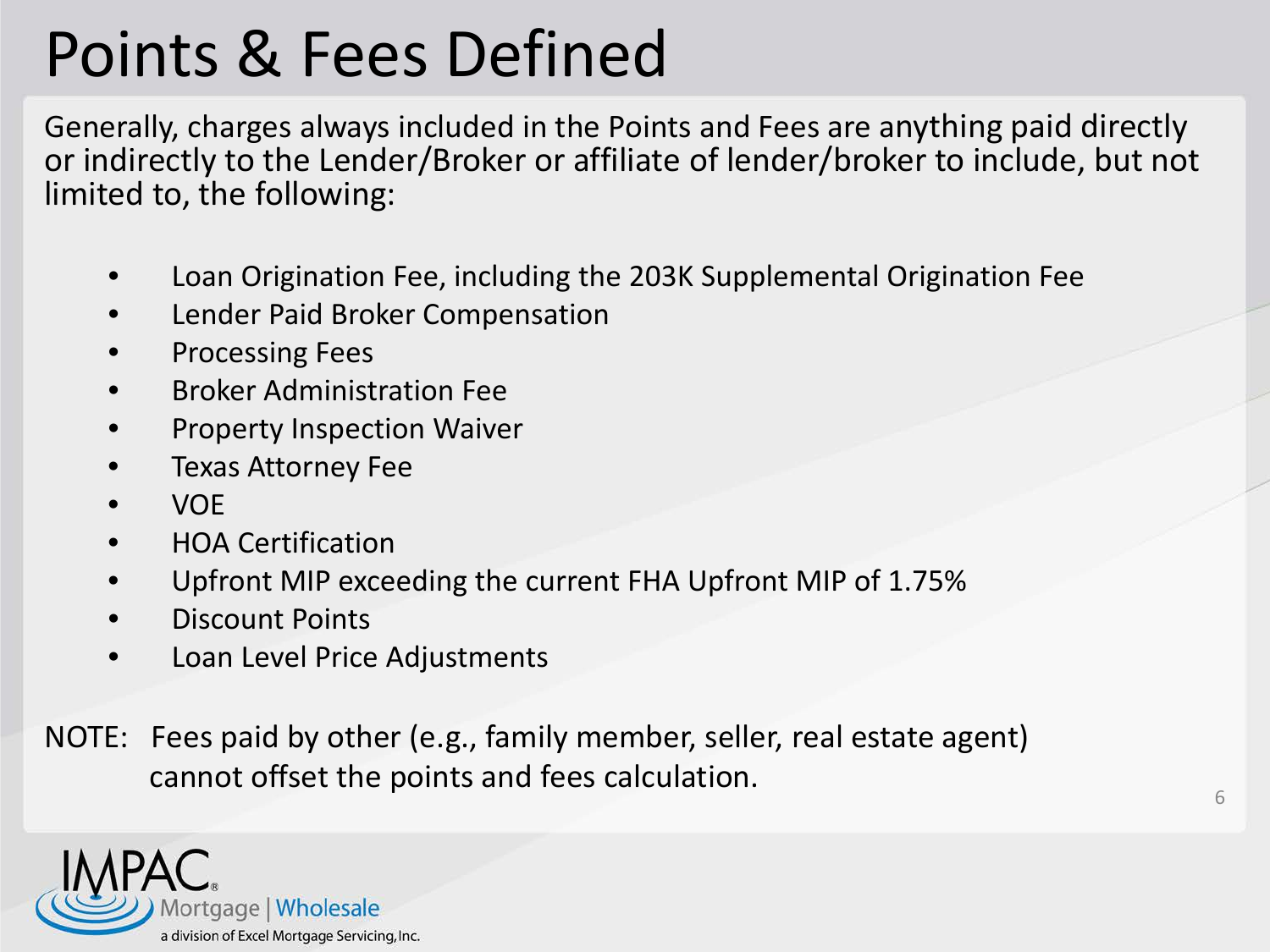## Points & Fees Defined

Generally, charges always included in the Points and Fees are anything paid directly or indirectly to the Lender/Broker or affiliate of lender/broker to include, but not limited to, the following:

- Loan Origination Fee, including the 203K Supplemental Origination Fee
- Lender Paid Broker Compensation
- Processing Fees
- Broker Administration Fee
- Property Inspection Waiver
- Texas Attorney Fee
- VOE
- HOA Certification
- Upfront MIP exceeding the current FHA Upfront MIP of 1.75%
- Discount Points
- Loan Level Price Adjustments
- NOTE: Fees paid by other (e.g., family member, seller, real estate agent) cannot offset the points and fees calculation.  $\overline{6}$

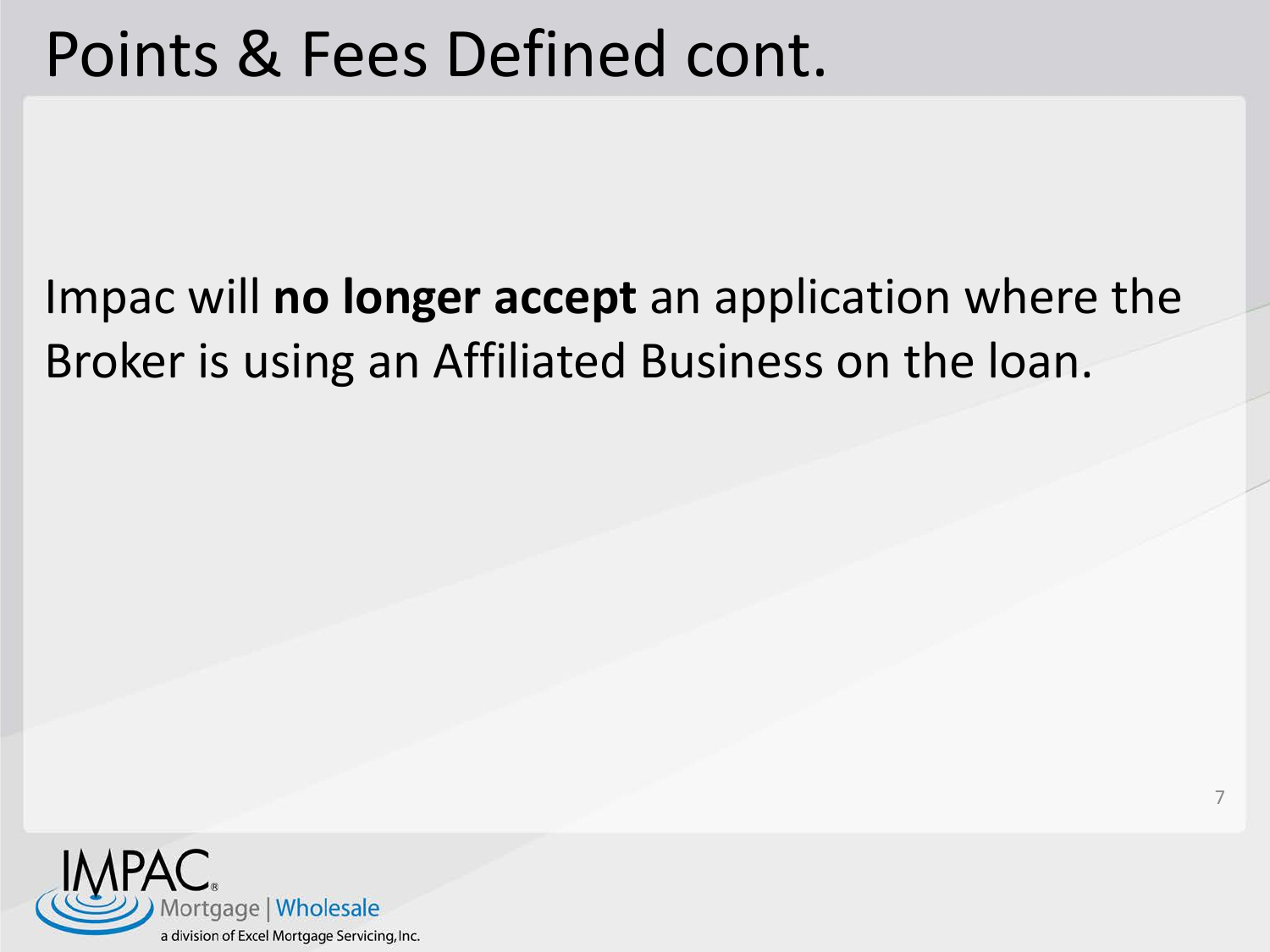#### Points & Fees Defined cont.

#### Impac will **no longer accept** an application where the Broker is using an Affiliated Business on the loan.

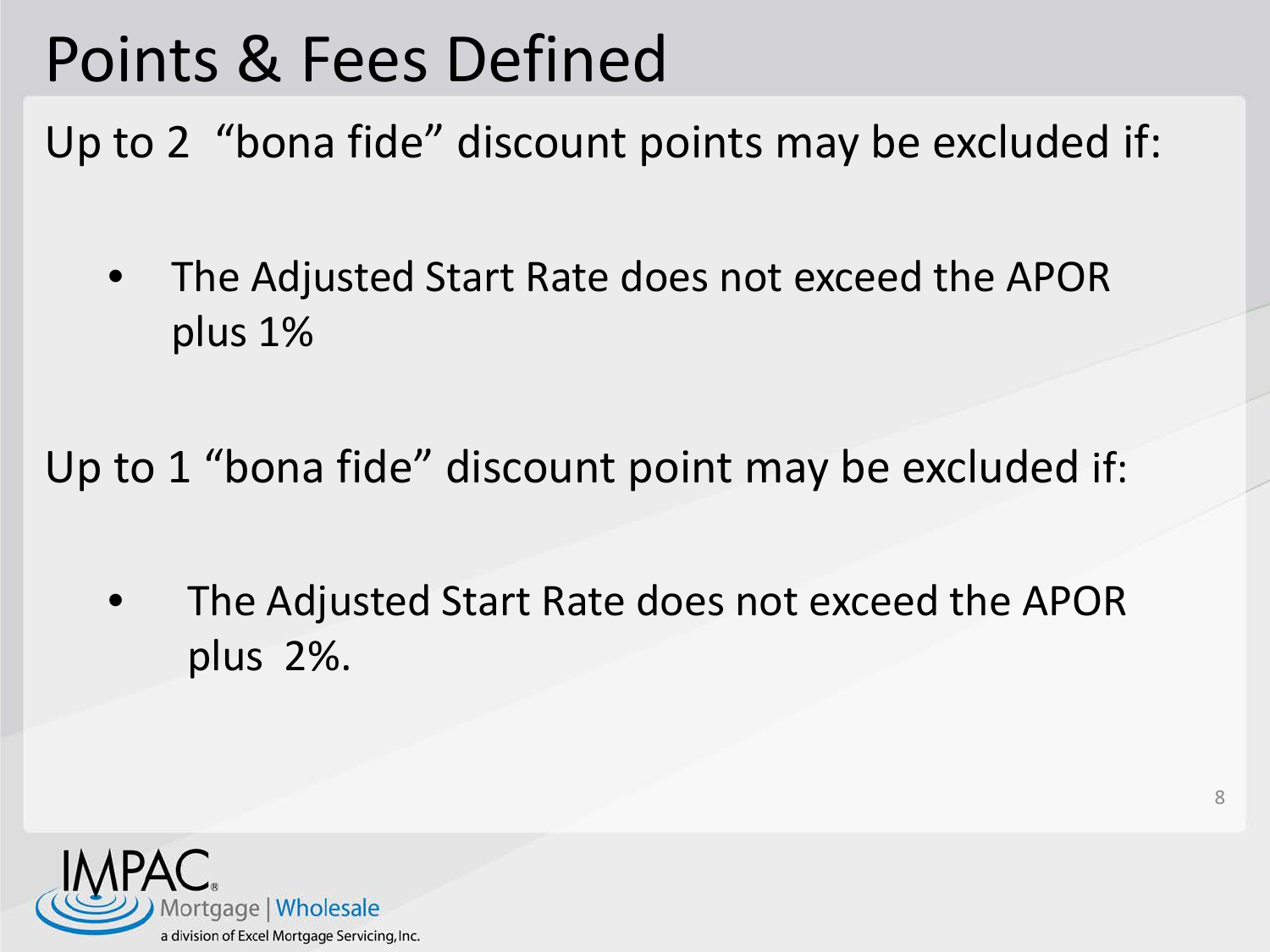## Points & Fees Defined

Up to 2 "bona fide" discount points may be excluded if:

• The Adjusted Start Rate does not exceed the APOR plus 1%

Up to 1 "bona fide" discount point may be excluded if:

The Adjusted Start Rate does not exceed the APOR plus 2%.

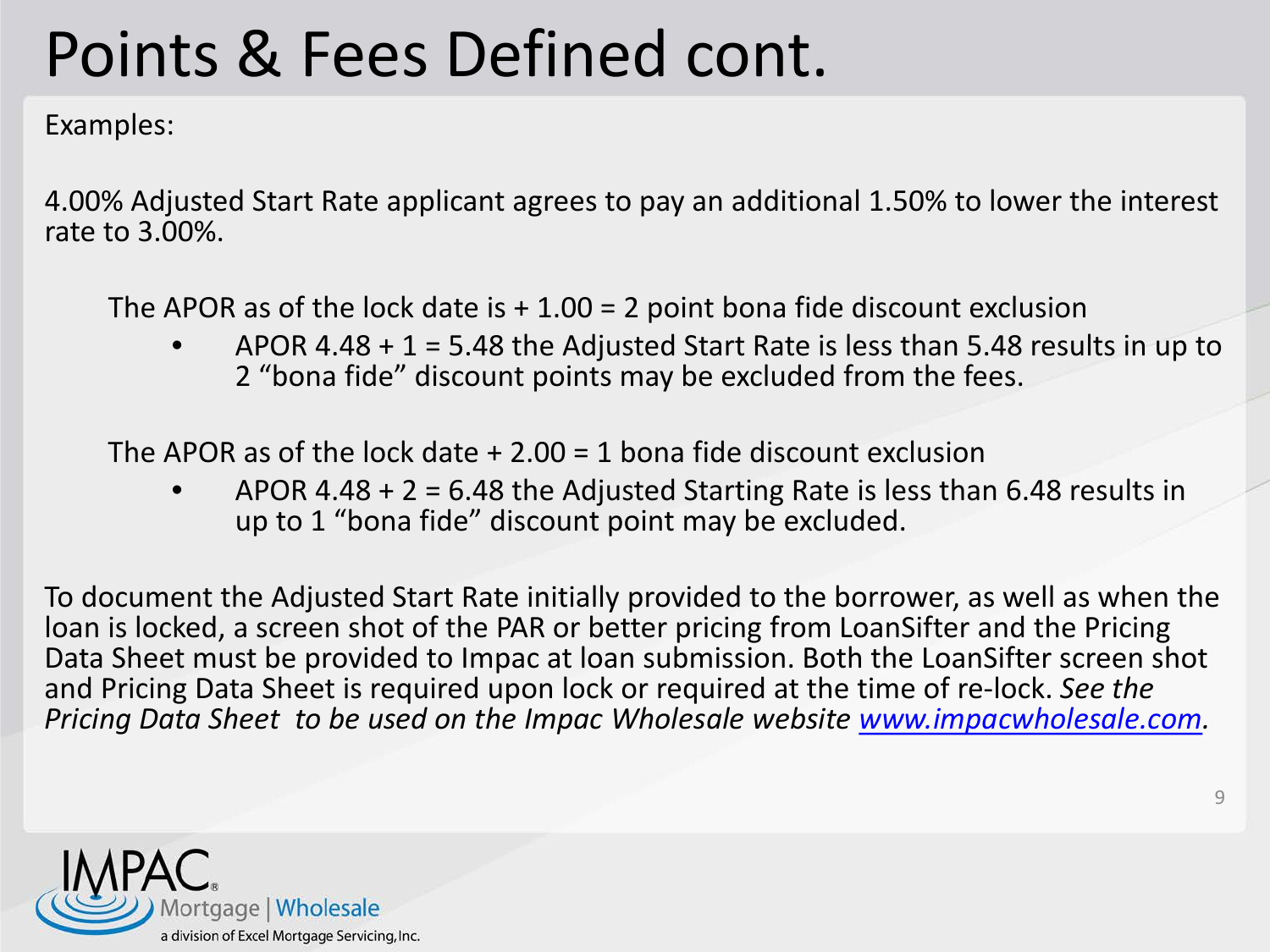## Points & Fees Defined cont.

Examples:

4.00% Adjusted Start Rate applicant agrees to pay an additional 1.50% to lower the interest rate to 3.00%.

The APOR as of the lock date is  $+1.00 = 2$  point bona fide discount exclusion

APOR 4.48  $+$  1 = 5.48 the Adjusted Start Rate is less than 5.48 results in up to 2 "bona fide" discount points may be excluded from the fees.

The APOR as of the lock date  $+2.00 = 1$  bona fide discount exclusion

APOR 4.48 + 2 = 6.48 the Adjusted Starting Rate is less than 6.48 results in up to 1 "bona fide" discount point may be excluded.

To document the Adjusted Start Rate initially provided to the borrower, as well as when the loan is locked, a screen shot of the PAR or better pricing from LoanSifter and the Pricing Data Sheet must be provided to Impac at loan submission. Both the LoanSifter screen shot and Pricing Data Sheet is required upon lock or required at the time of re-lock. *See the Pricing Data Sheet to be used on the Impac Wholesale website [www.impacwholesale.com.](http://www.impacwholesale.com/)*

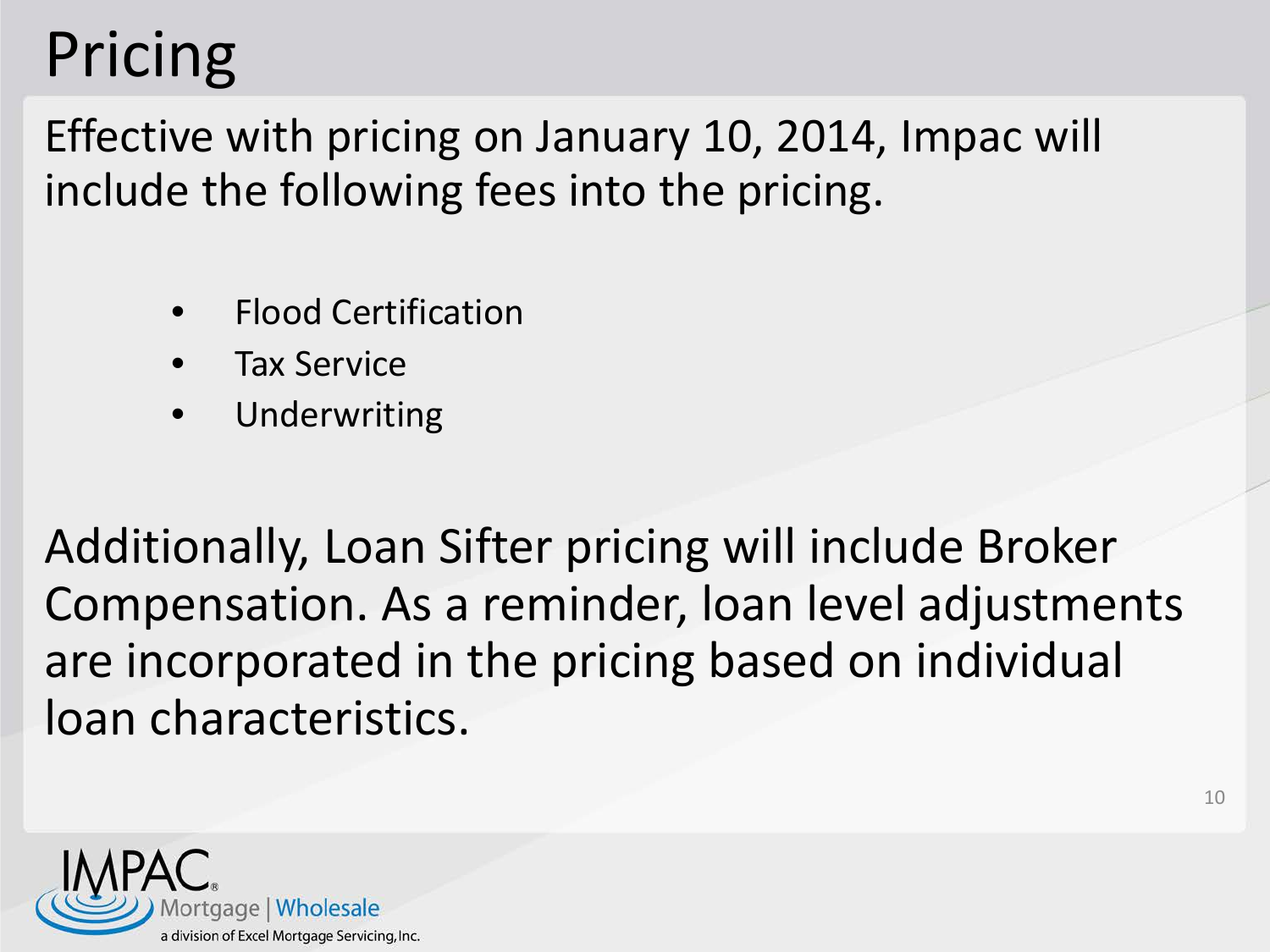## Pricing

Effective with pricing on January 10, 2014, Impac will include the following fees into the pricing.

- Flood Certification
- Tax Service
- **Underwriting**

Additionally, Loan Sifter pricing will include Broker Compensation. As a reminder, loan level adjustments are incorporated in the pricing based on individual loan characteristics.

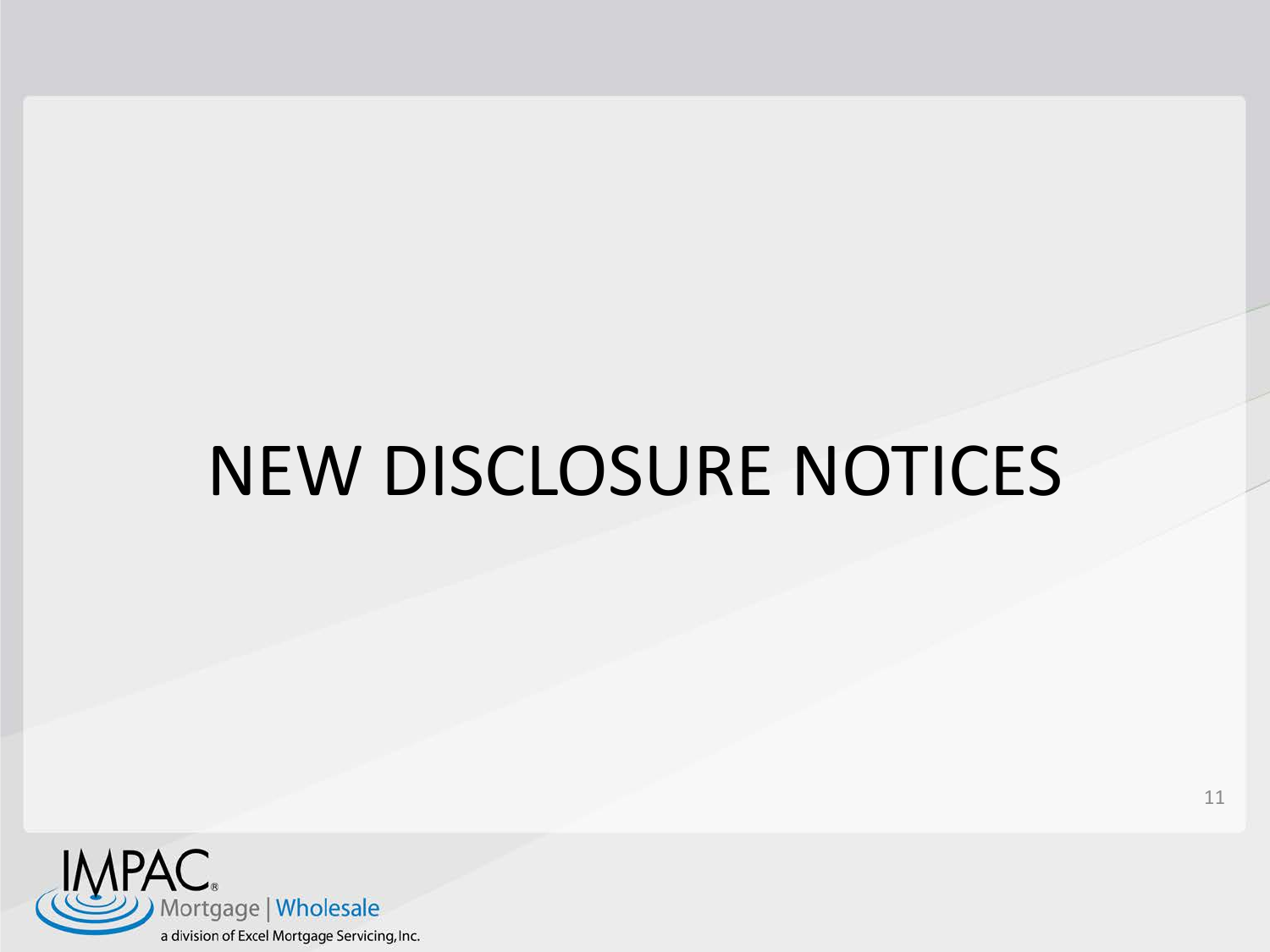## NEW DISCLOSURE NOTICES

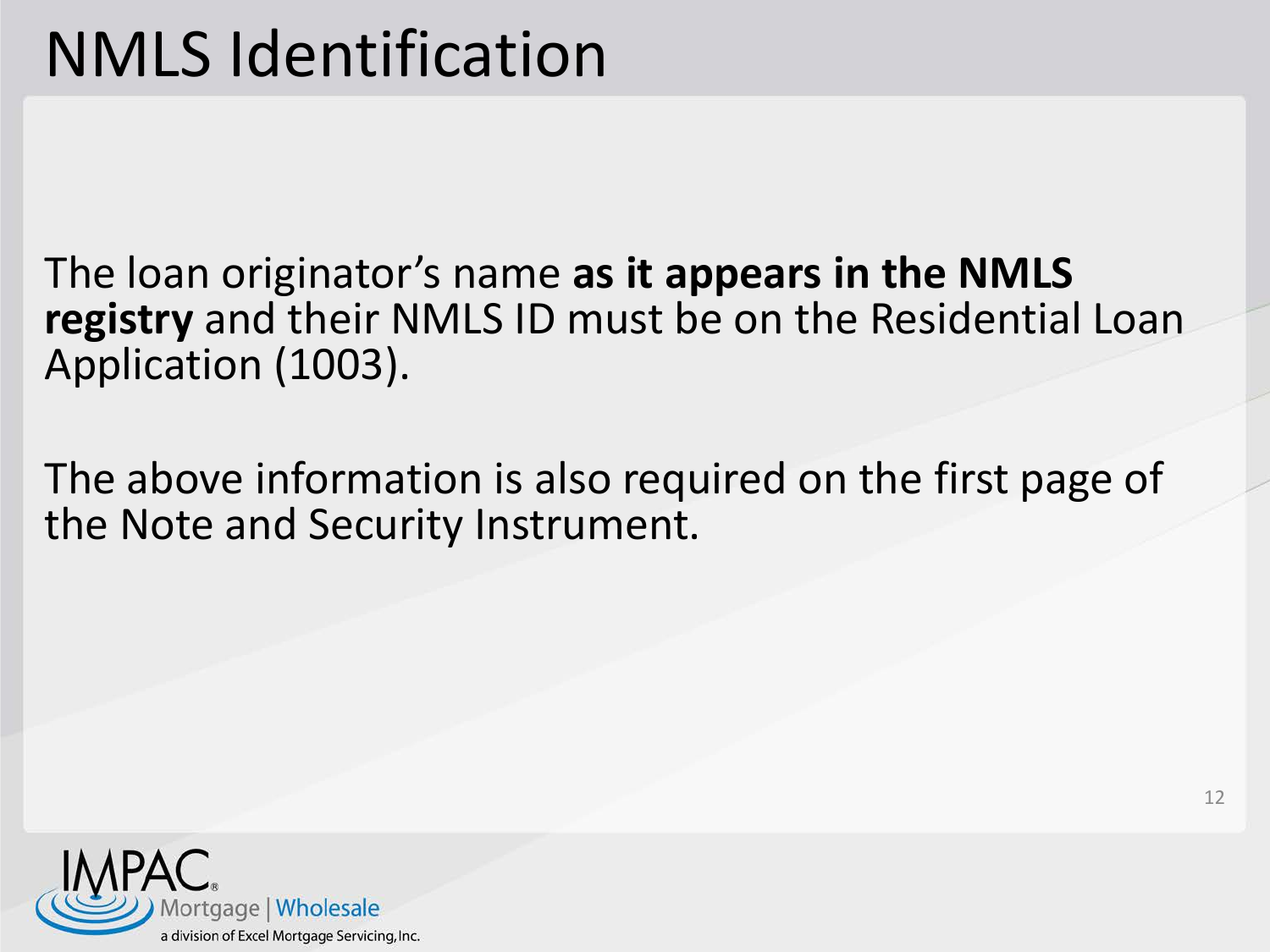The loan originator's name **as it appears in the NMLS registry** and their NMLS ID must be on the Residential Loan Application (1003).

The above information is also required on the first page of the Note and Security Instrument.

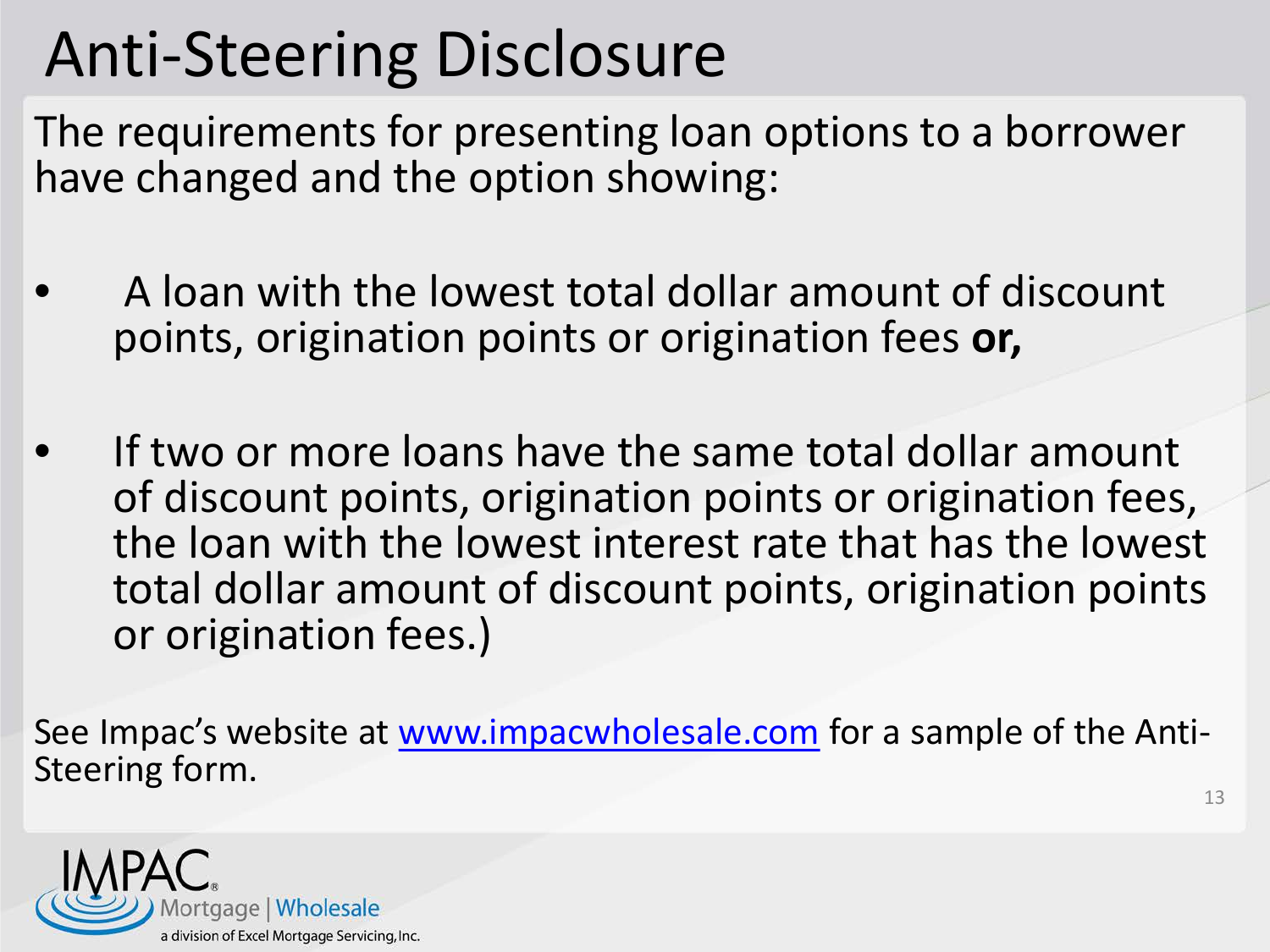## Anti-Steering Disclosure

The requirements for presenting loan options to a borrower have changed and the option showing:

- A loan with the lowest total dollar amount of discount points, origination points or origination fees **or,**
- If two or more loans have the same total dollar amount of discount points, origination points or origination fees, the loan with the lowest interest rate that has the lowest total dollar amount of discount points, origination points or origination fees.)

See Impac's website at [www.impacwholesale.com](http://www.impacwholesale.com/) for a sample of the Anti-<br>Steering form.

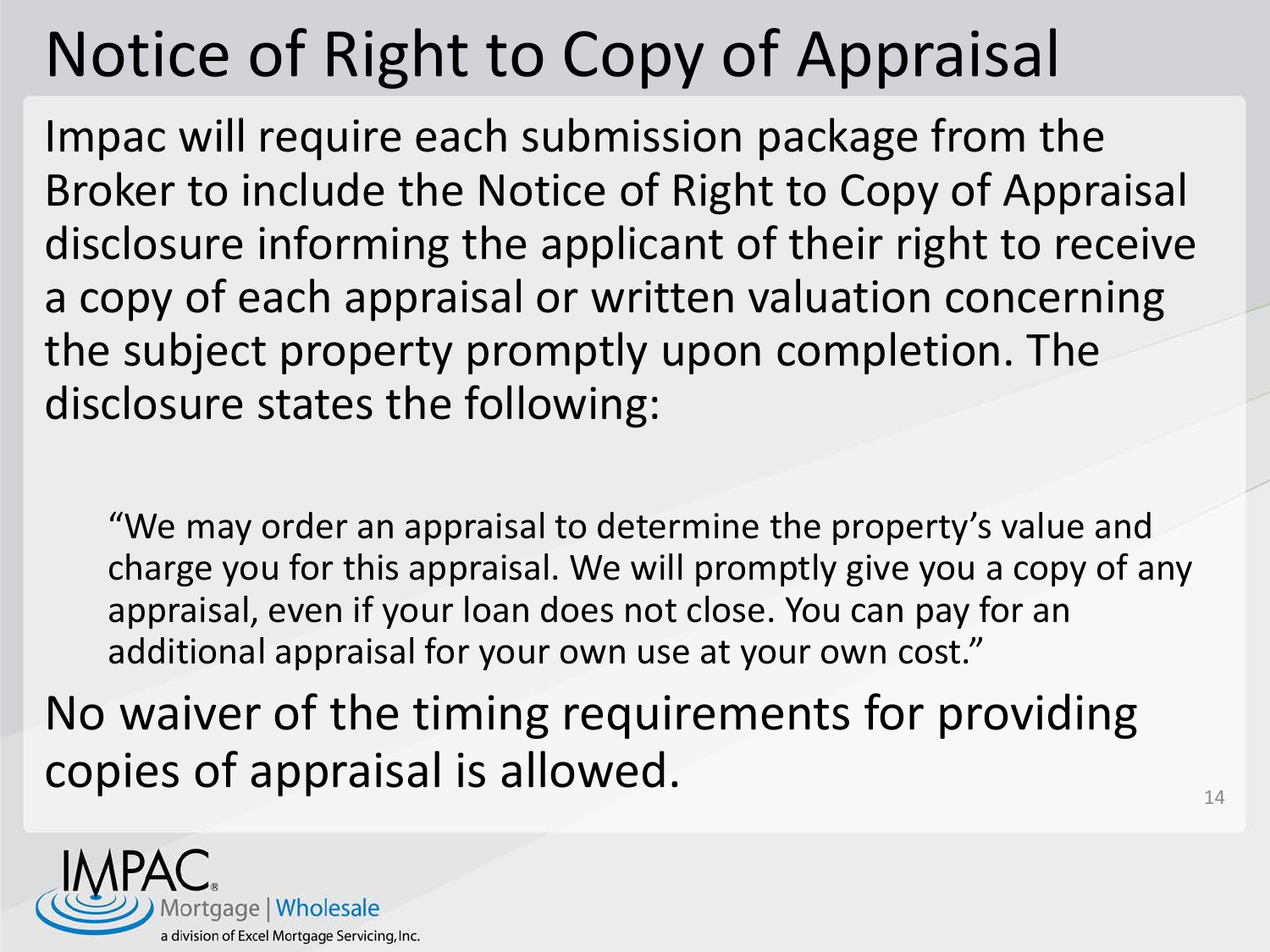# Notice of Right to Copy of Appraisal

Impac will require each submission package from the Broker to include the Notice of Right to Copy of Appraisal disclosure informing the applicant of their right to receive a copy of each appraisal or written valuation concerning the subject property promptly upon completion. The disclosure states the following:

"We may order an appraisal to determine the property's value and charge you for this appraisal. We will promptly give you a copy of any appraisal, even if your loan does not close. You can pay for an additional appraisal for your own use at your own cost."

No waiver of the timing requirements for providing copies of appraisal is allowed.  $14$ 

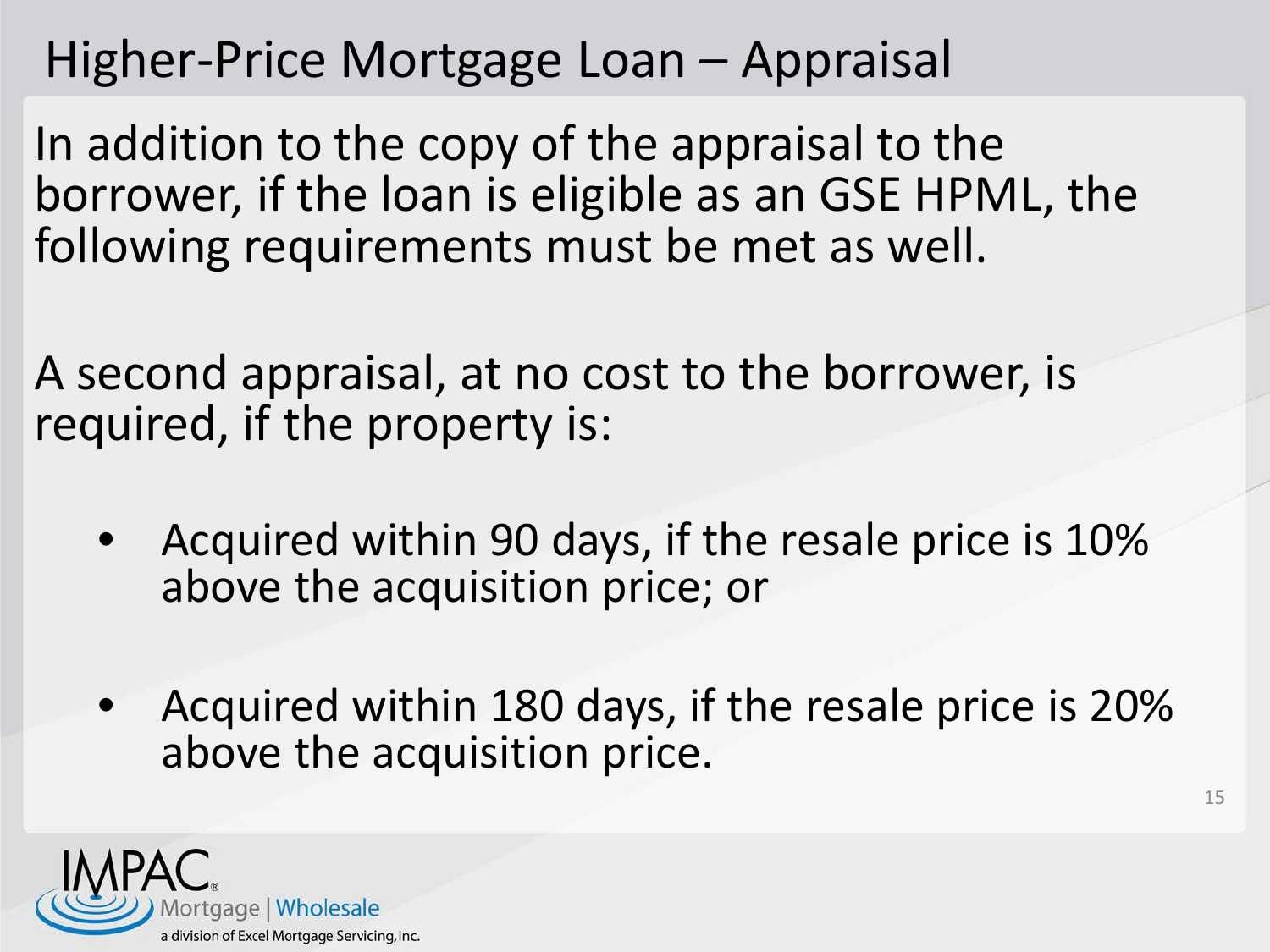#### Higher-Price Mortgage Loan – Appraisal

In addition to the copy of the appraisal to the borrower, if the loan is eligible as an GSE HPML, the following requirements must be met as well.

A second appraisal, at no cost to the borrower, is required, if the property is:

- Acquired within 90 days, if the resale price is 10% above the acquisition price; or
- Acquired within 180 days, if the resale price is 20% above the acquisition price.

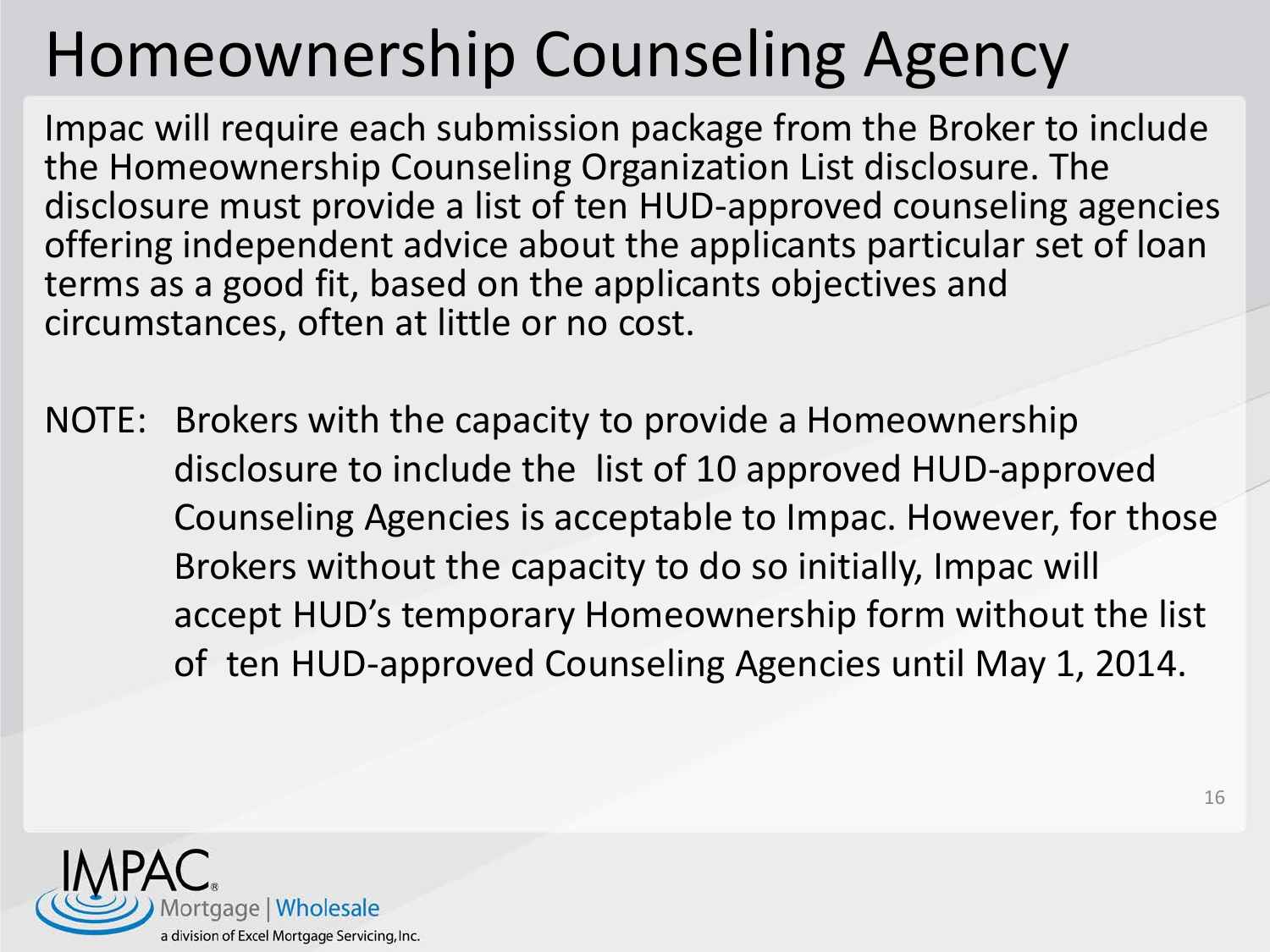# Homeownership Counseling Agency

Impac will require each submission package from the Broker to include the Homeownership Counseling Organization List disclosure. The disclosure must provide a list of ten HUD-approved counseling agencies offering independent advice about the applicants particular set of loan terms as a good fit, based on the applicants objectives and circumstances, often at little or no cost.

NOTE: Brokers with the capacity to provide a Homeownership disclosure to include the list of 10 approved HUD-approved Counseling Agencies is acceptable to Impac. However, for those Brokers without the capacity to do so initially, Impac will accept HUD's temporary Homeownership form without the list of ten HUD-approved Counseling Agencies until May 1, 2014.